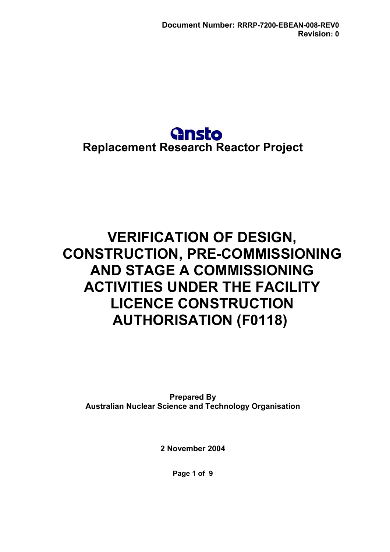# **Gnsto Replacement Research Reactor Project**

# <span id="page-0-0"></span>**VERIFICATION OF DESIGN, CONSTRUCTION, PRE-COMMISSIONING AND STAGE A COMMISSIONING ACTIVITIES UNDER THE FACILITY LICENCE CONSTRUCTION AUTHORISATION (F0118)**

**Prepared By Australian Nuclear Science and Technology Organisation**

**2 November 2004**

**Page 1 of 9**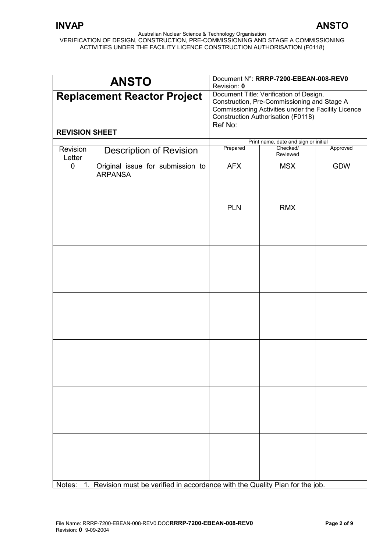| <b>ANSTO</b>                       |                                                                               | Document N°: RRRP-7200-EBEAN-008-REV0<br>Revision: 0                                                                                                                                |                                      |            |
|------------------------------------|-------------------------------------------------------------------------------|-------------------------------------------------------------------------------------------------------------------------------------------------------------------------------------|--------------------------------------|------------|
| <b>Replacement Reactor Project</b> |                                                                               | Document Title: Verification of Design,<br>Construction, Pre-Commissioning and Stage A<br>Commissioning Activities under the Facility Licence<br>Construction Authorisation (F0118) |                                      |            |
| <b>REVISION SHEET</b>              |                                                                               | Ref No:                                                                                                                                                                             |                                      |            |
|                                    |                                                                               |                                                                                                                                                                                     | Print name, date and sign or initial |            |
| Revision<br>Letter                 | Description of Revision                                                       | Prepared                                                                                                                                                                            | Checked/<br>Reviewed                 | Approved   |
| 0                                  | Original issue for submission to<br><b>ARPANSA</b>                            | <b>AFX</b>                                                                                                                                                                          | <b>MSX</b>                           | <b>GDW</b> |
|                                    |                                                                               | <b>PLN</b>                                                                                                                                                                          | <b>RMX</b>                           |            |
|                                    |                                                                               |                                                                                                                                                                                     |                                      |            |
|                                    |                                                                               |                                                                                                                                                                                     |                                      |            |
|                                    |                                                                               |                                                                                                                                                                                     |                                      |            |
|                                    |                                                                               |                                                                                                                                                                                     |                                      |            |
| Notes:                             | 1. Revision must be verified in accordance with the Quality Plan for the job. |                                                                                                                                                                                     |                                      |            |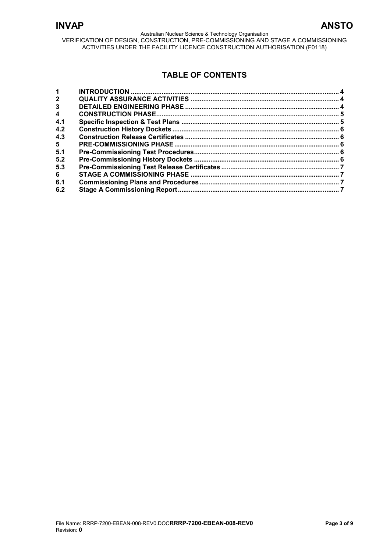## **TABLE OF CONTENTS**

| $\mathbf 1$    |  |
|----------------|--|
| $\mathbf{2}$   |  |
| 3              |  |
| 4              |  |
| 4.1            |  |
| 4.2            |  |
| 4.3            |  |
| 5 <sub>5</sub> |  |
| 5.1            |  |
| 5.2            |  |
| 5.3            |  |
| 6              |  |
| 6.1            |  |
| 6.2            |  |
|                |  |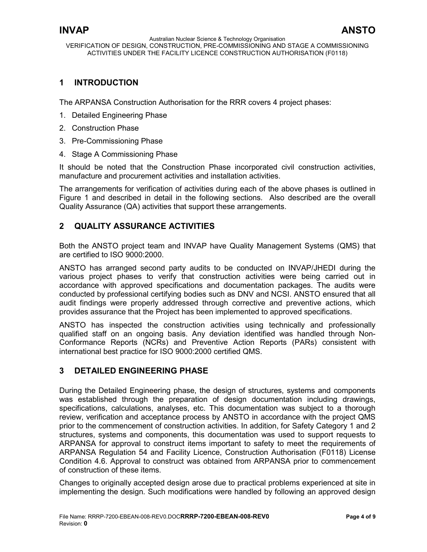#### **1 INTRODUCTION**

The ARPANSA Construction Authorisation for the RRR covers 4 project phases:

- <span id="page-3-0"></span>1. Detailed Engineering Phase
- 2. Construction Phase
- 3. Pre-Commissioning Phase
- 4. Stage A Commissioning Phase

It should be noted that the Construction Phase incorporated civil construction activities, manufacture and procurement activities and installation activities.

The arrangements for verification of activities during each of the above phases is outlined in Figure 1 and described in detail in the following sections. Also described are the overall Quality Assurance (QA) activities that support these arrangements.

#### **2 QUALITY ASSURANCE ACTIVITIES**

Both the ANSTO project team and INVAP have Quality Management Systems (QMS) that are certified to ISO 9000:2000.

<span id="page-3-1"></span>ANSTO has arranged second party audits to be conducted on INVAP/JHEDI during the various project phases to verify that construction activities were being carried out in accordance with approved specifications and documentation packages. The audits were conducted by professional certifying bodies such as DNV and NCSI. ANSTO ensured that all audit findings were properly addressed through corrective and preventive actions, which provides assurance that the Project has been implemented to approved specifications.

ANSTO has inspected the construction activities using technically and professionally qualified staff on an ongoing basis. Any deviation identified was handled through Non-Conformance Reports (NCRs) and Preventive Action Reports (PARs) consistent with international best practice for ISO 9000:2000 certified QMS.

#### **3 DETAILED ENGINEERING PHASE**

<span id="page-3-2"></span>During the Detailed Engineering phase, the design of structures, systems and components was established through the preparation of design documentation including drawings, specifications, calculations, analyses, etc. This documentation was subject to a thorough review, verification and acceptance process by ANSTO in accordance with the project QMS prior to the commencement of construction activities. In addition, for Safety Category 1 and 2 structures, systems and components, this documentation was used to support requests to ARPANSA for approval to construct items important to safety to meet the requirements of ARPANSA Regulation 54 and Facility Licence, Construction Authorisation (F0118) License Condition 4.6. Approval to construct was obtained from ARPANSA prior to commencement of construction of these items.

Changes to originally accepted design arose due to practical problems experienced at site in implementing the design. Such modifications were handled by following an approved design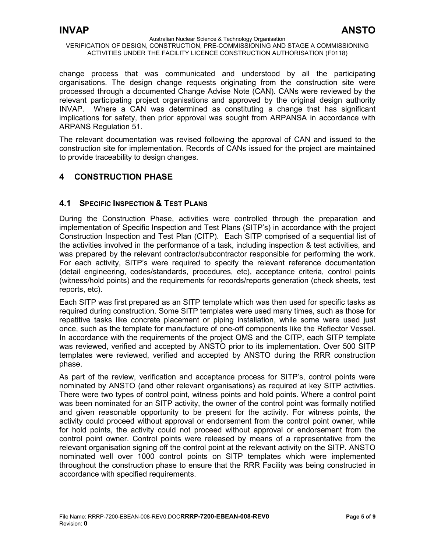#### Australian Nuclear Science & Technology Organisation

VERIFICATION OF DESIGN, CONSTRUCTION, PRE-COMMISSIONING AND STAGE A COMMISSIONING ACTIVITIES UNDER THE FACILITY LICENCE CONSTRUCTION AUTHORISATION (F0118)

change process that was communicated and understood by all the participating organisations. The design change requests originating from the construction site were processed through a documented Change Advise Note (CAN). CANs were reviewed by the relevant participating project organisations and approved by the original design authority INVAP. Where a CAN was determined as constituting a change that has significant implications for safety, then prior approval was sought from ARPANSA in accordance with ARPANS Regulation 51.

The relevant documentation was revised following the approval of CAN and issued to the construction site for implementation. Records of CANs issued for the project are maintained to provide traceability to design changes.

#### **4 CONSTRUCTION PHASE**

#### **4.1 SPECIFIC INSPECTION & TEST PLANS**

<span id="page-4-1"></span><span id="page-4-0"></span>During the Construction Phase, activities were controlled through the preparation and implementation of Specific Inspection and Test Plans (SITP's) in accordance with the project Construction Inspection and Test Plan (CITP). Each SITP comprised of a sequential list of the activities involved in the performance of a task, including inspection & test activities, and was prepared by the relevant contractor/subcontractor responsible for performing the work. For each activity, SITP's were required to specify the relevant reference documentation (detail engineering, codes/standards, procedures, etc), acceptance criteria, control points (witness/hold points) and the requirements for records/reports generation (check sheets, test reports, etc).

Each SITP was first prepared as an SITP template which was then used for specific tasks as required during construction. Some SITP templates were used many times, such as those for repetitive tasks like concrete placement or piping installation, while some were used just once, such as the template for manufacture of one-off components like the Reflector Vessel. In accordance with the requirements of the project QMS and the CITP, each SITP template was reviewed, verified and accepted by ANSTO prior to its implementation. Over 500 SITP templates were reviewed, verified and accepted by ANSTO during the RRR construction phase.

As part of the review, verification and acceptance process for SITP's, control points were nominated by ANSTO (and other relevant organisations) as required at key SITP activities. There were two types of control point, witness points and hold points. Where a control point was been nominated for an SITP activity, the owner of the control point was formally notified and given reasonable opportunity to be present for the activity. For witness points, the activity could proceed without approval or endorsement from the control point owner, while for hold points, the activity could not proceed without approval or endorsement from the control point owner. Control points were released by means of a representative from the relevant organisation signing off the control point at the relevant activity on the SITP. ANSTO nominated well over 1000 control points on SITP templates which were implemented throughout the construction phase to ensure that the RRR Facility was being constructed in accordance with specified requirements.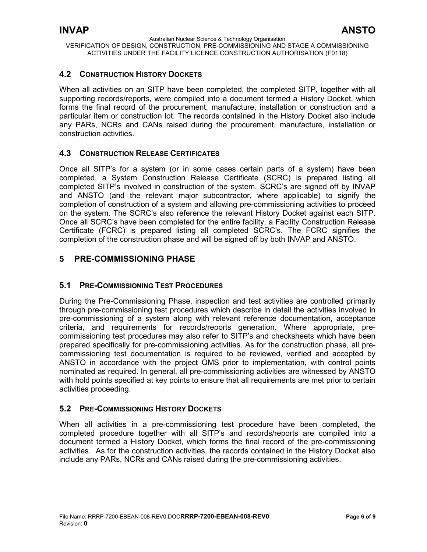#### **4.2 CONSTRUCTION HISTORY DOCKETS**

<span id="page-5-0"></span>When all activities on an SITP have been completed, the completed SITP, together with all supporting records/reports, were compiled into a document termed a History Docket, which forms the final record of the procurement, manufacture, installation or construction and a particular item or construction lot. The records contained in the History Docket also include any PARs, NCRs and CANs raised during the procurement, manufacture, installation or construction activities.

#### **4.3 CONSTRUCTION RELEASE CERTIFICATES**

<span id="page-5-1"></span>Once all SITP's for a system (or in some cases certain parts of a system) have been completed, a System Construction Release Certificate (SCRC) is prepared listing all completed SITP's involved in construction of the system. SCRC's are signed off by INVAP and ANSTO (and the relevant major subcontractor, where applicable) to signify the completion of construction of a system and allowing pre-commissioning activities to proceed on the system. The SCRC's also reference the relevant History Docket against each SITP. Once all SCRC's have been completed for the entire facility, a Facility Construction Release Certificate (FCRC) is prepared listing all completed SCRC's. The FCRC signifies the completion of the construction phase and will be signed off by both INVAP and ANSTO.

#### **5 PRE-COMMISSIONING PHASE**

#### <span id="page-5-2"></span>**5.1 PRE-COMMISSIONING TEST PROCEDURES**

<span id="page-5-3"></span>During the Pre-Commissioning Phase, inspection and test activities are controlled primarily through pre-commissioning test procedures which describe in detail the activities involved in pre-commissioning of a system along with relevant reference documentation, acceptance criteria, and requirements for records/reports generation. Where appropriate, precommissioning test procedures may also refer to SITP's and checksheets which have been prepared specifically for pre-commissioning activities. As for the construction phase, all precommissioning test documentation is required to be reviewed, verified and accepted by ANSTO in accordance with the project QMS prior to implementation, with control points nominated as required. In general, all pre-commissioning activities are witnessed by ANSTO with hold points specified at key points to ensure that all requirements are met prior to certain activities proceeding.

#### **5.2 PRE-COMMISSIONING HISTORY DOCKETS**

<span id="page-5-4"></span>When all activities in a pre-commissioning test procedure have been completed, the completed procedure together with all SITP's and records/reports are compiled into a document termed a History Docket, which forms the final record of the pre-commissioning activities. As for the construction activities, the records contained in the History Docket also include any PARs, NCRs and CANs raised during the pre-commissioning activities.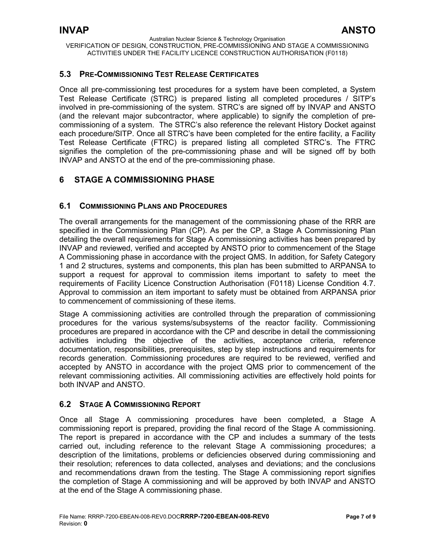#### **5.3 PRE-COMMISSIONING TEST RELEASE CERTIFICATES**

<span id="page-6-0"></span>Once all pre-commissioning test procedures for a system have been completed, a System Test Release Certificate (STRC) is prepared listing all completed procedures / SITP's involved in pre-commissioning of the system. STRC's are signed off by INVAP and ANSTO (and the relevant major subcontractor, where applicable) to signify the completion of precommissioning of a system. The STRC's also reference the relevant History Docket against each procedure/SITP. Once all STRC's have been completed for the entire facility, a Facility Test Release Certificate (FTRC) is prepared listing all completed STRC's. The FTRC signifies the completion of the pre-commissioning phase and will be signed off by both INVAP and ANSTO at the end of the pre-commissioning phase.

### **6 STAGE A COMMISSIONING PHASE**

#### <span id="page-6-1"></span>**6.1 COMMISSIONING PLANS AND PROCEDURES**

<span id="page-6-2"></span>The overall arrangements for the management of the commissioning phase of the RRR are specified in the Commissioning Plan (CP). As per the CP, a Stage A Commissioning Plan detailing the overall requirements for Stage A commissioning activities has been prepared by INVAP and reviewed, verified and accepted by ANSTO prior to commencement of the Stage A Commissioning phase in accordance with the project QMS. In addition, for Safety Category 1 and 2 structures, systems and components, this plan has been submitted to ARPANSA to support a request for approval to commission items important to safety to meet the requirements of Facility Licence Construction Authorisation (F0118) License Condition 4.7. Approval to commission an item important to safety must be obtained from ARPANSA prior to commencement of commissioning of these items.

Stage A commissioning activities are controlled through the preparation of commissioning procedures for the various systems/subsystems of the reactor facility. Commissioning procedures are prepared in accordance with the CP and describe in detail the commissioning activities including the objective of the activities, acceptance criteria, reference documentation, responsibilities, prerequisites, step by step instructions and requirements for records generation. Commissioning procedures are required to be reviewed, verified and accepted by ANSTO in accordance with the project QMS prior to commencement of the relevant commissioning activities. All commissioning activities are effectively hold points for both INVAP and ANSTO.

#### **6.2 STAGE A COMMISSIONING REPORT**

<span id="page-6-3"></span>Once all Stage A commissioning procedures have been completed, a Stage A commissioning report is prepared, providing the final record of the Stage A commissioning. The report is prepared in accordance with the CP and includes a summary of the tests carried out, including reference to the relevant Stage A commissioning procedures; a description of the limitations, problems or deficiencies observed during commissioning and their resolution; references to data collected, analyses and deviations; and the conclusions and recommendations drawn from the testing. The Stage A commissioning report signifies the completion of Stage A commissioning and will be approved by both INVAP and ANSTO at the end of the Stage A commissioning phase.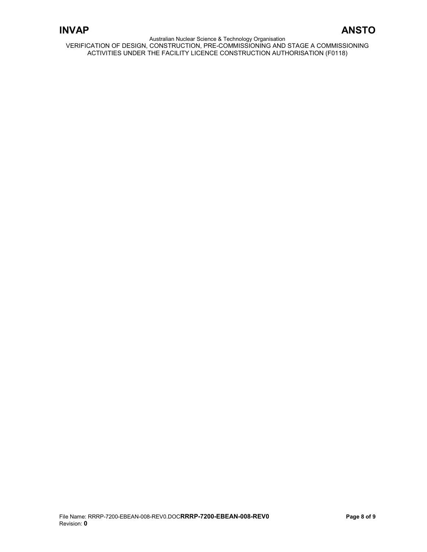## **INVAP ANSTO**

Australian Nuclear Science & Technology Organisation VERIFICATION OF DESIGN, CONSTRUCTION, PRE-COMMISSIONING AND STAGE A COMMISSIONING ACTIVITIES UNDER THE FACILITY LICENCE CONSTRUCTION AUTHORISATION (F0118)